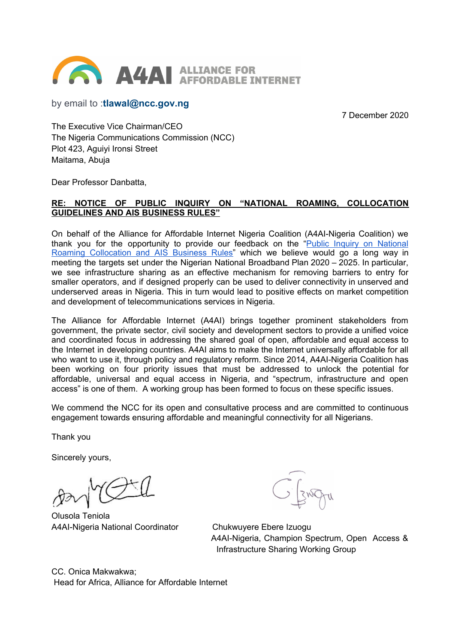

by email to :**tlawal@ncc.gov.ng**

7 December 2020

The Executive Vice Chairman/CEO The Nigeria Communications Commission (NCC) Plot 423, Aguiyi Ironsi Street Maitama, Abuja

Dear Professor Danbatta,

### **RE: NOTICE OF PUBLIC INQUIRY ON "NATIONAL ROAMING, COLLOCATION GUIDELINES AND AIS BUSINESS RULES"**

On behalf of the Alliance for Affordable Internet Nigeria Coalition (A4AI-Nigeria Coalition) we thank you for the opportunity to provide our feedback on the "Public Inquiry on [National](https://ncc.gov.ng/accessible/media-centre/public-notices/906-notice-of-public-inquiry-on-national-roaming-collocation-guidelines-and-ais-business-rules) Roaming [Collocation](https://ncc.gov.ng/accessible/media-centre/public-notices/906-notice-of-public-inquiry-on-national-roaming-collocation-guidelines-and-ais-business-rules) and AIS Business Rules" which we believe would go a long way in meeting the targets set under the Nigerian National Broadband Plan 2020 – 2025. In particular, we see infrastructure sharing as an effective mechanism for removing barriers to entry for smaller operators, and if designed properly can be used to deliver connectivity in unserved and underserved areas in Nigeria. This in turn would lead to positive effects on market competition and development of telecommunications services in Nigeria.

The Alliance for Affordable Internet (A4AI) brings together prominent stakeholders from government, the private sector, civil society and development sectors to provide a unified voice and coordinated focus in addressing the shared goal of open, affordable and equal access to the Internet in developing countries. A4AI aims to make the Internet universally affordable for all who want to use it, through policy and regulatory reform. Since 2014, A4AI-Nigeria Coalition has been working on four priority issues that must be addressed to unlock the potential for affordable, universal and equal access in Nigeria, and "spectrum, infrastructure and open access" is one of them. A working group has been formed to focus on these specific issues.

We commend the NCC for its open and consultative process and are committed to continuous engagement towards ensuring affordable and meaningful connectivity for all Nigerians.

Thank you

Sincerely yours,

Olusola Teniola A4AI-Nigeria National Coordinator Chukwuyere Ebere Izuogu

A4AI-Nigeria, Champion Spectrum, Open Access & Infrastructure Sharing Working Group

CC. Onica Makwakwa; Head for Africa, Alliance for Affordable Internet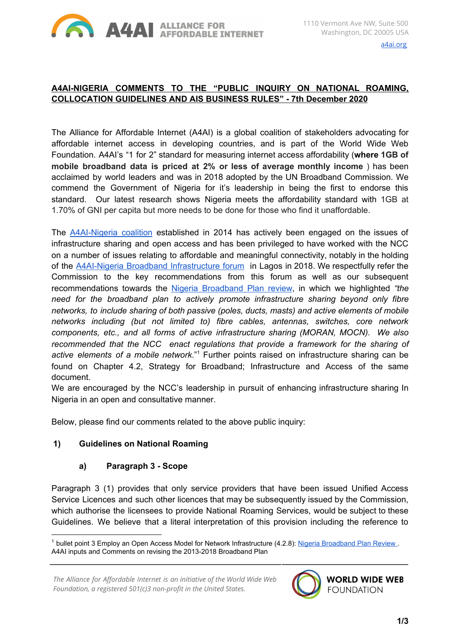

# **A4AI-NIGERIA COMMENTS TO THE "PUBLIC INQUIRY ON NATIONAL ROAMING, COLLOCATION GUIDELINES AND AIS BUSINESS RULES" - 7th December 2020**

The Alliance for Affordable Internet (A4AI) is a global coalition of stakeholders advocating for affordable internet access in developing countries, and is part of the World Wide Web Foundation. A4AI's "1 for 2" standard for measuring internet access affordability (**where 1GB of mobile broadband data is priced at 2% or less of average monthly income** ) has been acclaimed by world leaders and was in 2018 adopted by the UN Broadband Commission. We commend the Government of Nigeria for it's leadership in being the first to endorse this standard. Our latest research shows Nigeria meets the affordability standard with 1GB at 1.70% of GNI per capita but more needs to be done for those who find it unaffordable.

The **[A4AI-Nigeria](https://a4ai.org/nigeria-africa/) coalition** established in 2014 has actively been engaged on the issues of infrastructure sharing and open access and has been privileged to have worked with the NCC on a number of issues relating to affordable and meaningful connectivity, notably in the holding of the A4AI-Nigeria Broadband [Infrastructure](https://a4ai.org/nigeria-oct-30-31-infrastructure-forum-coalition-meeting) forum in Lagos in 2018. We respectfully refer the Commission to the key recommendations from this forum as well as our subsequent recommendations towards the Nigeria [Broadband](https://1e8q3q16vyc81g8l3h3md6q5f5e-wpengine.netdna-ssl.com/wp-content/uploads/2019/12/A4AI-Review-of-Nigeria-Broadband-Plan-Final-.pdf) Plan review, in which we highlighted *"the need for the broadband plan to actively promote infrastructure sharing beyond only fibre networks, to include sharing of both passive (poles, ducts, masts) and active elements of mobile networks including (but not limited to) fibre cables, antennas, switches, core network components, etc., and all forms of active infrastructure sharing (MORAN, MOCN). We also recommended that the NCC enact regulations that provide a framework for the sharing of* active elements of a mobile network."<sup>1</sup> Further points raised on infrastructure sharing can be found on Chapter 4.2, Strategy for Broadband; Infrastructure and Access of the same document.

We are encouraged by the NCC's leadership in pursuit of enhancing infrastructure sharing In Nigeria in an open and consultative manner.

Below, please find our comments related to the above public inquiry:

### **1) Guidelines on National Roaming**

### **a) Paragraph 3 - Scope**

Paragraph 3 (1) provides that only service providers that have been issued Unified Access Service Licences and such other licences that may be subsequently issued by the Commission, which authorise the licensees to provide National Roaming Services, would be subject to these Guidelines. We believe that a literal interpretation of this provision including the reference to

*The Alliance for Affordable Internet is an initiative of the World Wide Web Foundation, a registered 501(c)3 non-profit in the United States.*



<sup>&</sup>lt;sup>1</sup> bullet point 3 Employ an Open Access Model for Network Infrastructure (4.2.8): Nigeria Broadband Plan Review A4AI inputs and Comments on revising the 2013-2018 Broadband Plan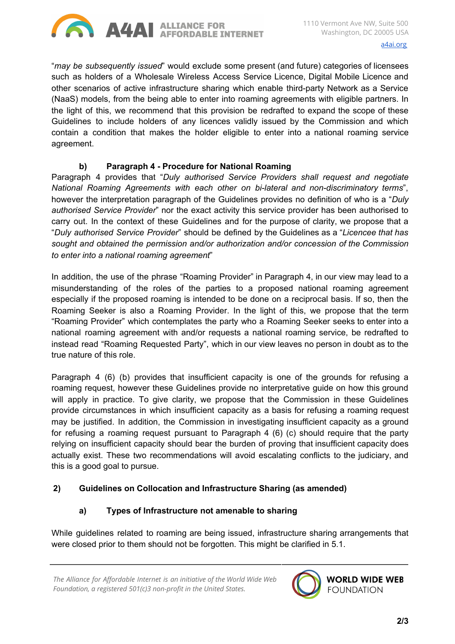

"*may be subsequently issued*" would exclude some present (and future) categories of licensees such as holders of a Wholesale Wireless Access Service Licence, Digital Mobile Licence and other scenarios of active infrastructure sharing which enable third-party Network as a Service (NaaS) models, from the being able to enter into roaming agreements with eligible partners. In the light of this, we recommend that this provision be redrafted to expand the scope of these Guidelines to include holders of any licences validly issued by the Commission and which contain a condition that makes the holder eligible to enter into a national roaming service agreement.

### **b) Paragraph 4 - Procedure for National Roaming**

Paragraph 4 provides that "*Duly authorised Service Providers shall request and negotiate National Roaming Agreements with each other on bi-lateral and non-discriminatory terms*", however the interpretation paragraph of the Guidelines provides no definition of who is a "*Duly authorised Service Provider*" nor the exact activity this service provider has been authorised to carry out. In the context of these Guidelines and for the purpose of clarity, we propose that a "*Duly authorised Service Provider*" should be defined by the Guidelines as a "*Licencee that has sought and obtained the permission and/or authorization and/or concession of the Commission to enter into a national roaming agreement*"

In addition, the use of the phrase "Roaming Provider" in Paragraph 4, in our view may lead to a misunderstanding of the roles of the parties to a proposed national roaming agreement especially if the proposed roaming is intended to be done on a reciprocal basis. If so, then the Roaming Seeker is also a Roaming Provider. In the light of this, we propose that the term "Roaming Provider" which contemplates the party who a Roaming Seeker seeks to enter into a national roaming agreement with and/or requests a national roaming service, be redrafted to instead read "Roaming Requested Party", which in our view leaves no person in doubt as to the true nature of this role.

Paragraph 4 (6) (b) provides that insufficient capacity is one of the grounds for refusing a roaming request, however these Guidelines provide no interpretative guide on how this ground will apply in practice. To give clarity, we propose that the Commission in these Guidelines provide circumstances in which insufficient capacity as a basis for refusing a roaming request may be justified. In addition, the Commission in investigating insufficient capacity as a ground for refusing a roaming request pursuant to Paragraph 4 (6) (c) should require that the party relying on insufficient capacity should bear the burden of proving that insufficient capacity does actually exist. These two recommendations will avoid escalating conflicts to the judiciary, and this is a good goal to pursue.

### **2) Guidelines on Collocation and Infrastructure Sharing (as amended)**

## **a) Types of Infrastructure not amenable to sharing**

While guidelines related to roaming are being issued, infrastructure sharing arrangements that were closed prior to them should not be forgotten. This might be clarified in 5.1.



**WORLD WIDE WEB FOUNDATION**